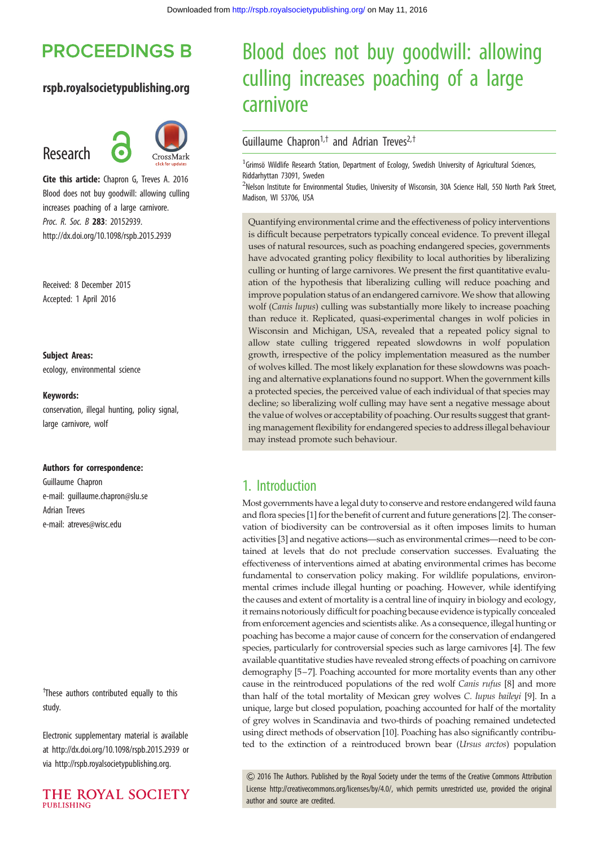# **PROCEEDINGS B**

### rspb.royalsocietypublishing.org

# Research



Cite this article: Chapron G, Treves A. 2016 Blood does not buy goodwill: allowing culling increases poaching of a large carnivore. Proc. R. Soc. B 283: 20152939. http://dx.doi.org/10.1098/rspb.2015.2939

Received: 8 December 2015 Accepted: 1 April 2016

Subject Areas: ecology, environmental science

#### Keywords:

conservation, illegal hunting, policy signal, large carnivore, wolf

#### Authors for correspondence:

Guillaume Chapron e-mail: [guillaume.chapron@slu.se](mailto:guillaume.chapron@slu.se) Adrian Treves e-mail: [atreves@wisc.edu](mailto:atreves@wisc.edu)

<sup>†</sup>These authors contributed equally to this study.

Electronic supplementary material is available at<http://dx.doi.org/10.1098/rspb.2015.2939> or via<http://rspb.royalsocietypublishing.org>.

THE ROYAL SOCIETY PURLISHING

# Blood does not buy goodwill: allowing culling increases poaching of a large carnivore

### Guillaume Chapron<sup>1,†</sup> and Adrian Treves<sup>2,†</sup>

<sup>1</sup> Grimsö Wildlife Research Station, Department of Ecology, Swedish University of Agricultural Sciences, Riddarhyttan 73091, Sweden

<sup>2</sup>Nelson Institute for Environmental Studies, University of Wisconsin, 30A Science Hall, 550 North Park Street, Madison, WI 53706, USA

Quantifying environmental crime and the effectiveness of policy interventions is difficult because perpetrators typically conceal evidence. To prevent illegal uses of natural resources, such as poaching endangered species, governments have advocated granting policy flexibility to local authorities by liberalizing culling or hunting of large carnivores. We present the first quantitative evaluation of the hypothesis that liberalizing culling will reduce poaching and improve population status of an endangered carnivore. We show that allowing wolf (Canis lupus) culling was substantially more likely to increase poaching than reduce it. Replicated, quasi-experimental changes in wolf policies in Wisconsin and Michigan, USA, revealed that a repeated policy signal to allow state culling triggered repeated slowdowns in wolf population growth, irrespective of the policy implementation measured as the number of wolves killed. The most likely explanation for these slowdowns was poaching and alternative explanations found no support. When the government kills a protected species, the perceived value of each individual of that species may decline; so liberalizing wolf culling may have sent a negative message about the value of wolves or acceptability of poaching. Our results suggest that granting management flexibility for endangered species to address illegal behaviour may instead promote such behaviour.

## 1. Introduction

Most governments have a legal duty to conserve and restore endangered wild fauna and flora species [[1](#page-5-0)] for the benefit of current and future generations [\[2\]](#page-5-0). The conservation of biodiversity can be controversial as it often imposes limits to human activities [\[3](#page-5-0)] and negative actions—such as environmental crimes—need to be contained at levels that do not preclude conservation successes. Evaluating the effectiveness of interventions aimed at abating environmental crimes has become fundamental to conservation policy making. For wildlife populations, environmental crimes include illegal hunting or poaching. However, while identifying the causes and extent of mortality is a central line of inquiry in biology and ecology, it remains notoriously difficult for poaching because evidence is typically concealed from enforcement agencies and scientists alike. As a consequence, illegal hunting or poaching has become a major cause of concern for the conservation of endangered species, particularly for controversial species such as large carnivores [\[4](#page-5-0)]. The few available quantitative studies have revealed strong effects of poaching on carnivore demography [\[5](#page-5-0)–[7](#page-5-0)]. Poaching accounted for more mortality events than any other cause in the reintroduced populations of the red wolf Canis rufus [\[8\]](#page-5-0) and more than half of the total mortality of Mexican grey wolves C. lupus baileyi [\[9\]](#page-5-0). In a unique, large but closed population, poaching accounted for half of the mortality of grey wolves in Scandinavia and two-thirds of poaching remained undetected using direct methods of observation [\[10\]](#page-5-0). Poaching has also significantly contributed to the extinction of a reintroduced brown bear (Ursus arctos) population

& 2016 The Authors. Published by the Royal Society under the terms of the Creative Commons Attribution License [http://creativecommons.org/licenses/by/4.0/, which permits unrestricted use, provided the original](http://creativecommons.org/licenses/by/4.0/) [author and source are credited.](http://creativecommons.org/licenses/by/4.0/)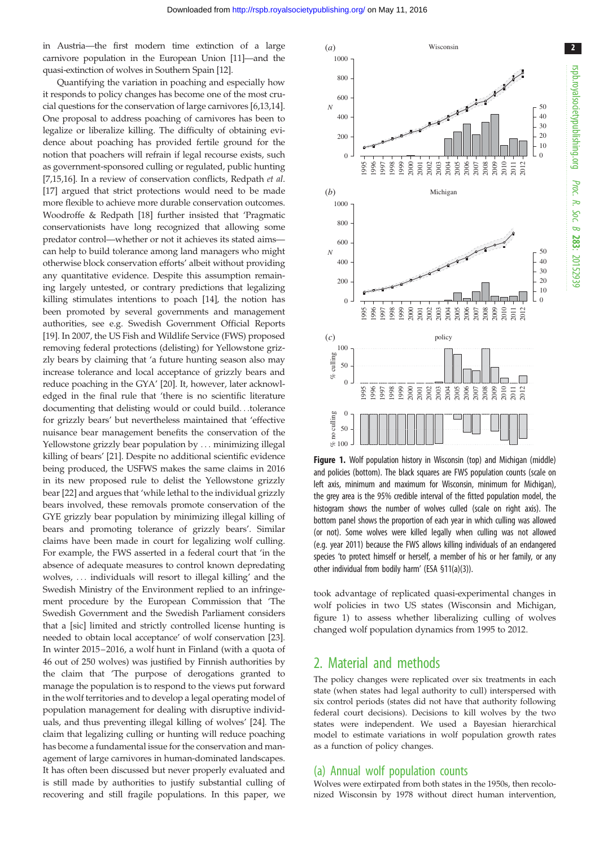<span id="page-1-0"></span>in Austria—the first modern time extinction of a large carnivore population in the European Union [[11](#page-5-0)]—and the quasi-extinction of wolves in Southern Spain [\[12\]](#page-5-0).

Quantifying the variation in poaching and especially how it responds to policy changes has become one of the most crucial questions for the conservation of large carnivores [[6,13,14](#page-5-0)]. One proposal to address poaching of carnivores has been to legalize or liberalize killing. The difficulty of obtaining evidence about poaching has provided fertile ground for the notion that poachers will refrain if legal recourse exists, such as government-sponsored culling or regulated, public hunting [\[7,15,16](#page-5-0)]. In a review of conservation conflicts, Redpath et al. [\[17](#page-5-0)] argued that strict protections would need to be made more flexible to achieve more durable conservation outcomes. Woodroffe & Redpath [\[18](#page-5-0)] further insisted that 'Pragmatic conservationists have long recognized that allowing some predator control—whether or not it achieves its stated aims can help to build tolerance among land managers who might otherwise block conservation efforts' albeit without providing any quantitative evidence. Despite this assumption remaining largely untested, or contrary predictions that legalizing killing stimulates intentions to poach [\[14](#page-5-0)], the notion has been promoted by several governments and management authorities, see e.g. Swedish Government Official Reports [\[19](#page-5-0)]. In 2007, the US Fish and Wildlife Service (FWS) proposed removing federal protections (delisting) for Yellowstone grizzly bears by claiming that 'a future hunting season also may increase tolerance and local acceptance of grizzly bears and reduce poaching in the GYA' [\[20](#page-5-0)]. It, however, later acknowledged in the final rule that 'there is no scientific literature documenting that delisting would or could build...tolerance for grizzly bears' but nevertheless maintained that 'effective nuisance bear management benefits the conservation of the Yellowstone grizzly bear population by ... minimizing illegal killing of bears' [[21\]](#page-5-0). Despite no additional scientific evidence being produced, the USFWS makes the same claims in 2016 in its new proposed rule to delist the Yellowstone grizzly bear [\[22](#page-5-0)] and argues that 'while lethal to the individual grizzly bears involved, these removals promote conservation of the GYE grizzly bear population by minimizing illegal killing of bears and promoting tolerance of grizzly bears'. Similar claims have been made in court for legalizing wolf culling. For example, the FWS asserted in a federal court that 'in the absence of adequate measures to control known depredating wolves, ... individuals will resort to illegal killing' and the Swedish Ministry of the Environment replied to an infringement procedure by the European Commission that 'The Swedish Government and the Swedish Parliament considers that a [sic] limited and strictly controlled license hunting is needed to obtain local acceptance' of wolf conservation [\[23](#page-5-0)]. In winter 2015–2016, a wolf hunt in Finland (with a quota of 46 out of 250 wolves) was justified by Finnish authorities by the claim that 'The purpose of derogations granted to manage the population is to respond to the views put forward in the wolf territories and to develop a legal operating model of population management for dealing with disruptive individuals, and thus preventing illegal killing of wolves' [\[24](#page-5-0)]. The claim that legalizing culling or hunting will reduce poaching has become a fundamental issue for the conservation and management of large carnivores in human-dominated landscapes. It has often been discussed but never properly evaluated and is still made by authorities to justify substantial culling of recovering and still fragile populations. In this paper, we



**Figure 1.** Wolf population history in Wisconsin (top) and Michigan (middle) and policies (bottom). The black squares are FWS population counts (scale on left axis, minimum and maximum for Wisconsin, minimum for Michigan), the grey area is the 95% credible interval of the fitted population model, the histogram shows the number of wolves culled (scale on right axis). The bottom panel shows the proportion of each year in which culling was allowed (or not). Some wolves were killed legally when culling was not allowed (e.g. year 2011) because the FWS allows killing individuals of an endangered species 'to protect himself or herself, a member of his or her family, or any other individual from bodily harm' (ESA §11(a)(3)).

took advantage of replicated quasi-experimental changes in wolf policies in two US states (Wisconsin and Michigan, figure 1) to assess whether liberalizing culling of wolves changed wolf population dynamics from 1995 to 2012.

## 2. Material and methods

The policy changes were replicated over six treatments in each state (when states had legal authority to cull) interspersed with six control periods (states did not have that authority following federal court decisions). Decisions to kill wolves by the two states were independent. We used a Bayesian hierarchical model to estimate variations in wolf population growth rates as a function of policy changes.

#### (a) Annual wolf population counts

Wolves were extirpated from both states in the 1950s, then recolonized Wisconsin by 1978 without direct human intervention,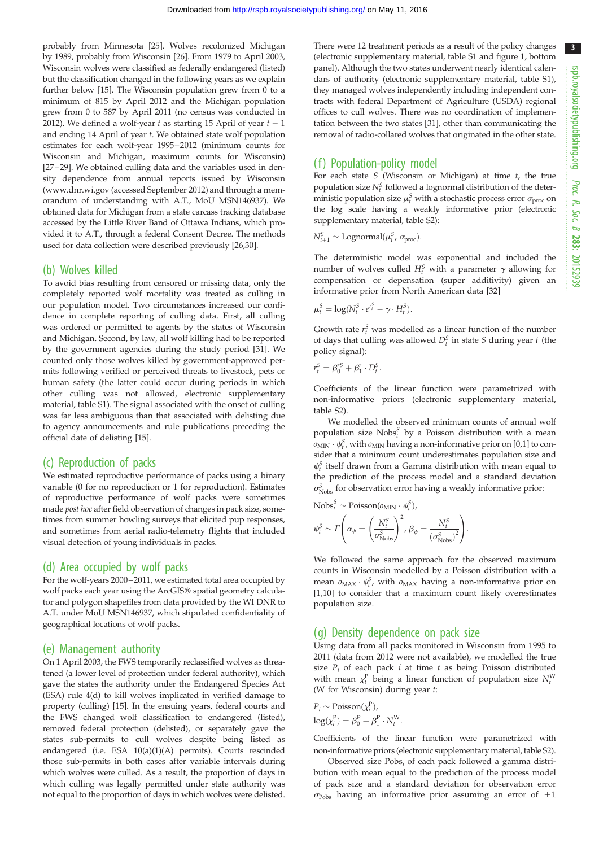3

probably from Minnesota [\[25\]](#page-5-0). Wolves recolonized Michigan by 1989, probably from Wisconsin [\[26\]](#page-5-0). From 1979 to April 2003, Wisconsin wolves were classified as federally endangered (listed) but the classification changed in the following years as we explain further below [[15](#page-5-0)]. The Wisconsin population grew from 0 to a minimum of 815 by April 2012 and the Michigan population grew from 0 to 587 by April 2011 (no census was conducted in 2012). We defined a wolf-year t as starting 15 April of year  $t - 1$ and ending 14 April of year t. We obtained state wolf population estimates for each wolf-year 1995– 2012 (minimum counts for Wisconsin and Michigan, maximum counts for Wisconsin) [\[27](#page-5-0)–[29](#page-5-0)]. We obtained culling data and the variables used in density dependence from annual reports issued by Wisconsin [\(www.dnr.wi.gov](http://www.dnr.wi.gov) (accessed September 2012) and through a memorandum of understanding with A.T., MoU MSN146937). We obtained data for Michigan from a state carcass tracking database accessed by the Little River Band of Ottawa Indians, which provided it to A.T., through a federal Consent Decree. The methods used for data collection were described previously [\[26,30](#page-5-0)].

### (b) Wolves killed

To avoid bias resulting from censored or missing data, only the completely reported wolf mortality was treated as culling in our population model. Two circumstances increased our confidence in complete reporting of culling data. First, all culling was ordered or permitted to agents by the states of Wisconsin and Michigan. Second, by law, all wolf killing had to be reported by the government agencies during the study period [\[31\]](#page-5-0). We counted only those wolves killed by government-approved permits following verified or perceived threats to livestock, pets or human safety (the latter could occur during periods in which other culling was not allowed, electronic supplementary material, table S1). The signal associated with the onset of culling was far less ambiguous than that associated with delisting due to agency announcements and rule publications preceding the official date of delisting [\[15\]](#page-5-0).

## (c) Reproduction of packs

We estimated reproductive performance of packs using a binary variable (0 for no reproduction or 1 for reproduction). Estimates of reproductive performance of wolf packs were sometimes made post hoc after field observation of changes in pack size, sometimes from summer howling surveys that elicited pup responses, and sometimes from aerial radio-telemetry flights that included visual detection of young individuals in packs.

### (d) Area occupied by wolf packs

For the wolf-years 2000–2011, we estimated total area occupied by wolf packs each year using the ArcGIS® spatial geometry calculator and polygon shapefiles from data provided by the WI DNR to A.T. under MoU MSN146937, which stipulated confidentiality of geographical locations of wolf packs.

### (e) Management authority

On 1 April 2003, the FWS temporarily reclassified wolves as threatened (a lower level of protection under federal authority), which gave the states the authority under the Endangered Species Act (ESA) rule 4(d) to kill wolves implicated in verified damage to property (culling) [[15](#page-5-0)]. In the ensuing years, federal courts and the FWS changed wolf classification to endangered (listed), removed federal protection (delisted), or separately gave the states sub-permits to cull wolves despite being listed as endangered (i.e. ESA 10(a)(1)(A) permits). Courts rescinded those sub-permits in both cases after variable intervals during which wolves were culled. As a result, the proportion of days in which culling was legally permitted under state authority was not equal to the proportion of days in which wolves were delisted.

There were 12 treatment periods as a result of the policy changes (electronic supplementary material, table S1 and [figure 1,](#page-1-0) bottom panel). Although the two states underwent nearly identical calendars of authority (electronic supplementary material, table S1), they managed wolves independently including independent contracts with federal Department of Agriculture (USDA) regional offices to cull wolves. There was no coordination of implementation between the two states [[31](#page-5-0)], other than communicating the removal of radio-collared wolves that originated in the other state.

## (f) Population-policy model

For each state  $S$  (Wisconsin or Michigan) at time  $t$ , the true population size  $N_t^S$  followed a lognormal distribution of the deterministic population size  $\mu_t^S$  with a stochastic process error  $\sigma_{\text{proc}}$  on the log scale having a weakly informative prior (electronic supplementary material, table S2):

$$
N_{t+1}^S \sim \text{Lognormal}(\mu_t^S, \sigma_{\text{proc}}).
$$

The deterministic model was exponential and included the number of wolves culled  $H_t^S$  with a parameter  $\gamma$  allowing for compensation or depensation (super additivity) given an informative prior from North American data [\[32\]](#page-5-0)

$$
\mu_t^S = \log(N_t^S \cdot e^{r_t^S} - \gamma \cdot H_t^S).
$$

Growth rate  $r_t^S$  was modelled as a linear function of the number of days that culling was allowed  $D_t^S$  in state S during year t (the policy signal):

$$
r_t^S = \beta_0^{rS} + \beta_1^r \cdot D_t^S.
$$

Coefficients of the linear function were parametrized with non-informative priors (electronic supplementary material, table S2).

We modelled the observed minimum counts of annual wolf population size  $\text{Nobs}_t^S$  by a Poisson distribution with a mean  $\omega_{\text{MIN}} \cdot \psi_f^S$ , with  $\omega_{\text{MIN}}$  having a non-informative prior on [0,1] to consider that a minimum count underestimates population size and  $\psi_t^S$  itself drawn from a Gamma distribution with mean equal to the prediction of the process model and a standard deviation  $\sigma_{\text{Nobs}}^S$  for observation error having a weakly informative prior:

Nobs<sub>t</sub><sup>S</sup> ~ Poisson(
$$
o_{\text{MIN}} \cdot \psi_t^S
$$
),  
\n
$$
\psi_t^S \sim \Gamma \left( \alpha_{\psi} = \left( \frac{N_t^S}{\sigma_{\text{Nobs}}^S} \right)^2, \beta_{\psi} = \frac{N_t^S}{\left( \sigma_{\text{Nobs}}^S \right)^2} \right).
$$

We followed the same approach for the observed maximum counts in Wisconsin modelled by a Poisson distribution with a mean  $o_{MAX} \cdot \psi_t^S$ , with  $o_{MAX}$  having a non-informative prior on [[1,10](#page-5-0)] to consider that a maximum count likely overestimates population size.

### (g) Density dependence on pack size

Using data from all packs monitored in Wisconsin from 1995 to 2011 (data from 2012 were not available), we modelled the true size  $P_i$  of each pack i at time t as being Poisson distributed with mean  $\chi_t^{\rm P}$  being a linear function of population size  $N_t^{\rm W}$ (W for Wisconsin) during year t:

$$
P_i \sim \text{Poisson}(\chi_i^P),
$$
  

$$
\log(\chi_i^P) = \beta_0^P + \beta_1^P \cdot N_t^W.
$$

Coefficients of the linear function were parametrized with non-informative priors (electronic supplementary material, table S2).

Observed size  $Pobs<sub>i</sub>$  of each pack followed a gamma distribution with mean equal to the prediction of the process model of pack size and a standard deviation for observation error  $\sigma_{\rm Pobs}$  having an informative prior assuming an error of  $\pm 1$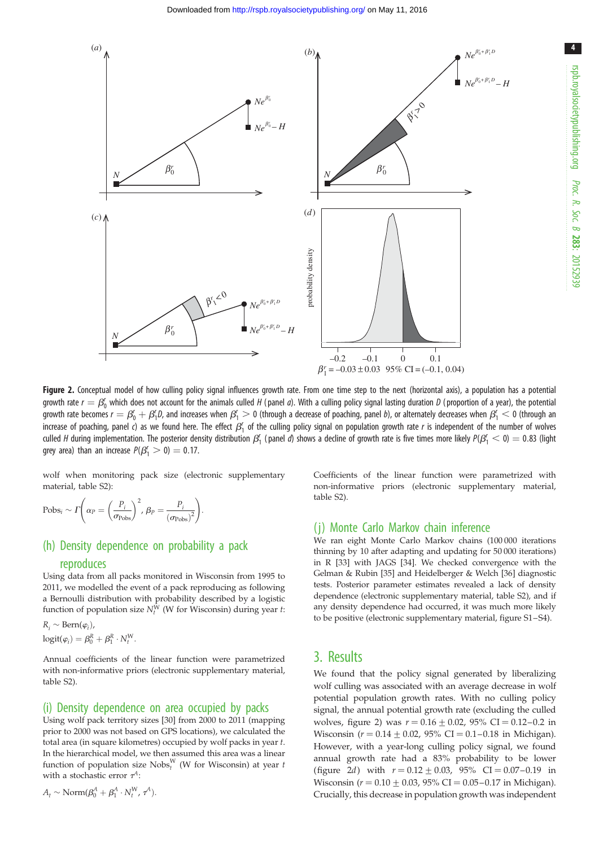<span id="page-3-0"></span>

Figure 2. Conceptual model of how culling policy signal influences growth rate. From one time step to the next (horizontal axis), a population has a potential growth rate  $r=\beta_0'$  which does not account for the animals culled H (panel  $a$ ). With a culling policy signal lasting duration D (proportion of a year), the potential growth rate becomes  $r=\beta_0'+\beta_1'$ D, and increases when  $\beta_1'>0$  (through a decrease of poaching, panel  $b$ ), or alternately decreases when  $\beta_1'<0$  (through an increase of poaching, panel c) as we found here. The effect  $\beta_1'$  of the culling policy signal on population growth rate r is independent of the number of wolves culled H during implementation. The posterior density distribution  $\beta_1'$  (panel  $d$ ) shows a decline of growth rate is five times more likely  $\beta(\beta_1' < 0) = 0.83$  (light grey area) than an increase  $P(\beta_1^r > 0) = 0.17$ .

wolf when monitoring pack size (electronic supplementary material, table S2):

Pobs<sub>i</sub> ~ 
$$
\Gamma\left(\alpha_P = \left(\frac{P_i}{\sigma_{\text{Pobs}}}\right)^2, \beta_P = \frac{P_i}{(\sigma_{\text{Pobs}})^2}\right).
$$

## (h) Density dependence on probability a pack

#### reproduces

Using data from all packs monitored in Wisconsin from 1995 to 2011, we modelled the event of a pack reproducing as following a Bernoulli distribution with probability described by a logistic function of population size  $N_t^W$  (W for Wisconsin) during year t:

$$
R_i \sim \text{Bern}(\varphi_i),
$$
  
logit( $\varphi_i$ ) =  $\beta_0^R + \beta_1^R \cdot N_t^W$ .

Annual coefficients of the linear function were parametrized with non-informative priors (electronic supplementary material, table S2).

#### (i) Density dependence on area occupied by packs

Using wolf pack territory sizes [\[30\]](#page-5-0) from 2000 to 2011 (mapping prior to 2000 was not based on GPS locations), we calculated the total area (in square kilometres) occupied by wolf packs in year t. In the hierarchical model, we then assumed this area was a linear function of population size  $\mathbf{Nobs}^W_t$  (W for Wisconsin) at year t with a stochastic error  $\tau^A$ :

$$
A_t \sim \text{Norm}(\beta_0^A + \beta_1^A \cdot N_t^W, \tau^A).
$$

Coefficients of the linear function were parametrized with non-informative priors (electronic supplementary material, table S2).

#### (j) Monte Carlo Markov chain inference

We ran eight Monte Carlo Markov chains (100 000 iterations thinning by 10 after adapting and updating for 50 000 iterations) in R [\[33\]](#page-5-0) with JAGS [[34](#page-5-0)]. We checked convergence with the Gelman & Rubin [\[35\]](#page-5-0) and Heidelberger & Welch [\[36](#page-6-0)] diagnostic tests. Posterior parameter estimates revealed a lack of density dependence (electronic supplementary material, table S2), and if any density dependence had occurred, it was much more likely to be positive (electronic supplementary material, figure S1–S4).

### 3. Results

We found that the policy signal generated by liberalizing wolf culling was associated with an average decrease in wolf potential population growth rates. With no culling policy signal, the annual potential growth rate (excluding the culled wolves, figure 2) was  $r = 0.16 \pm 0.02$ , 95% CI = 0.12–0.2 in Wisconsin ( $r = 0.14 \pm 0.02$ , 95% CI = 0.1-0.18 in Michigan). However, with a year-long culling policy signal, we found annual growth rate had a 83% probability to be lower (figure 2d) with  $r = 0.12 \pm 0.03$ , 95% CI = 0.07-0.19 in Wisconsin ( $r = 0.10 \pm 0.03$ , 95% CI = 0.05–0.17 in Michigan). Crucially, this decrease in population growth was independent 4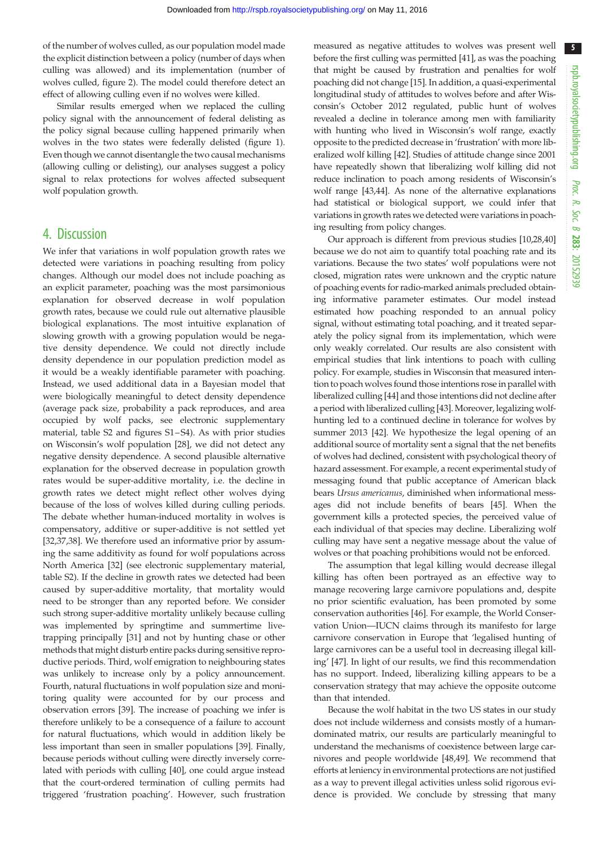of the number of wolves culled, as our population model made the explicit distinction between a policy (number of days when culling was allowed) and its implementation (number of wolves culled, [figure 2](#page-3-0)). The model could therefore detect an effect of allowing culling even if no wolves were killed.

Similar results emerged when we replaced the culling policy signal with the announcement of federal delisting as the policy signal because culling happened primarily when wolves in the two states were federally delisted [\(figure 1](#page-1-0)). Even though we cannot disentangle the two causal mechanisms (allowing culling or delisting), our analyses suggest a policy signal to relax protections for wolves affected subsequent wolf population growth.

## 4. Discussion

We infer that variations in wolf population growth rates we detected were variations in poaching resulting from policy changes. Although our model does not include poaching as an explicit parameter, poaching was the most parsimonious explanation for observed decrease in wolf population growth rates, because we could rule out alternative plausible biological explanations. The most intuitive explanation of slowing growth with a growing population would be negative density dependence. We could not directly include density dependence in our population prediction model as it would be a weakly identifiable parameter with poaching. Instead, we used additional data in a Bayesian model that were biologically meaningful to detect density dependence (average pack size, probability a pack reproduces, and area occupied by wolf packs, see electronic supplementary material, table S2 and figures S1 –S4). As with prior studies on Wisconsin's wolf population [\[28](#page-5-0)], we did not detect any negative density dependence. A second plausible alternative explanation for the observed decrease in population growth rates would be super-additive mortality, i.e. the decline in growth rates we detect might reflect other wolves dying because of the loss of wolves killed during culling periods. The debate whether human-induced mortality in wolves is compensatory, additive or super-additive is not settled yet [\[32](#page-5-0),[37,38\]](#page-6-0). We therefore used an informative prior by assuming the same additivity as found for wolf populations across North America [\[32](#page-5-0)] (see electronic supplementary material, table S2). If the decline in growth rates we detected had been caused by super-additive mortality, that mortality would need to be stronger than any reported before. We consider such strong super-additive mortality unlikely because culling was implemented by springtime and summertime livetrapping principally [\[31](#page-5-0)] and not by hunting chase or other methods that might disturb entire packs during sensitive reproductive periods. Third, wolf emigration to neighbouring states was unlikely to increase only by a policy announcement. Fourth, natural fluctuations in wolf population size and monitoring quality were accounted for by our process and observation errors [[39](#page-6-0)]. The increase of poaching we infer is therefore unlikely to be a consequence of a failure to account for natural fluctuations, which would in addition likely be less important than seen in smaller populations [\[39](#page-6-0)]. Finally, because periods without culling were directly inversely correlated with periods with culling [\[40](#page-6-0)], one could argue instead that the court-ordered termination of culling permits had triggered 'frustration poaching'. However, such frustration

measured as negative attitudes to wolves was present well before the first culling was permitted [\[41](#page-6-0)], as was the poaching that might be caused by frustration and penalties for wolf poaching did not change [[15](#page-5-0)]. In addition, a quasi-experimental longitudinal study of attitudes to wolves before and after Wisconsin's October 2012 regulated, public hunt of wolves revealed a decline in tolerance among men with familiarity with hunting who lived in Wisconsin's wolf range, exactly opposite to the predicted decrease in 'frustration' with more liberalized wolf killing [\[42](#page-6-0)]. Studies of attitude change since 2001 have repeatedly shown that liberalizing wolf killing did not reduce inclination to poach among residents of Wisconsin's wolf range [[43,44](#page-6-0)]. As none of the alternative explanations had statistical or biological support, we could infer that variations in growth rates we detected were variations in poaching resulting from policy changes.

Our approach is different from previous studies [\[10,28](#page-5-0)[,40\]](#page-6-0) because we do not aim to quantify total poaching rate and its variations. Because the two states' wolf populations were not closed, migration rates were unknown and the cryptic nature of poaching events for radio-marked animals precluded obtaining informative parameter estimates. Our model instead estimated how poaching responded to an annual policy signal, without estimating total poaching, and it treated separately the policy signal from its implementation, which were only weakly correlated. Our results are also consistent with empirical studies that link intentions to poach with culling policy. For example, studies in Wisconsin that measured intention to poach wolves found those intentions rose in parallel with liberalized culling [[44\]](#page-6-0) and those intentions did not decline after a period with liberalized culling [[43\]](#page-6-0). Moreover, legalizing wolfhunting led to a continued decline in tolerance for wolves by summer 2013 [\[42](#page-6-0)]. We hypothesize the legal opening of an additional source of mortality sent a signal that the net benefits of wolves had declined, consistent with psychological theory of hazard assessment. For example, a recent experimental study of messaging found that public acceptance of American black bears Ursus americanus, diminished when informational messages did not include benefits of bears [\[45](#page-6-0)]. When the government kills a protected species, the perceived value of each individual of that species may decline. Liberalizing wolf culling may have sent a negative message about the value of wolves or that poaching prohibitions would not be enforced.

The assumption that legal killing would decrease illegal killing has often been portrayed as an effective way to manage recovering large carnivore populations and, despite no prior scientific evaluation, has been promoted by some conservation authorities [[46](#page-6-0)]. For example, the World Conservation Union—IUCN claims through its manifesto for large carnivore conservation in Europe that 'legalised hunting of large carnivores can be a useful tool in decreasing illegal killing' [\[47](#page-6-0)]. In light of our results, we find this recommendation has no support. Indeed, liberalizing killing appears to be a conservation strategy that may achieve the opposite outcome than that intended.

Because the wolf habitat in the two US states in our study does not include wilderness and consists mostly of a humandominated matrix, our results are particularly meaningful to understand the mechanisms of coexistence between large carnivores and people worldwide [\[48,49](#page-6-0)]. We recommend that efforts at leniency in environmental protections are not justified as a way to prevent illegal activities unless solid rigorous evidence is provided. We conclude by stressing that many

5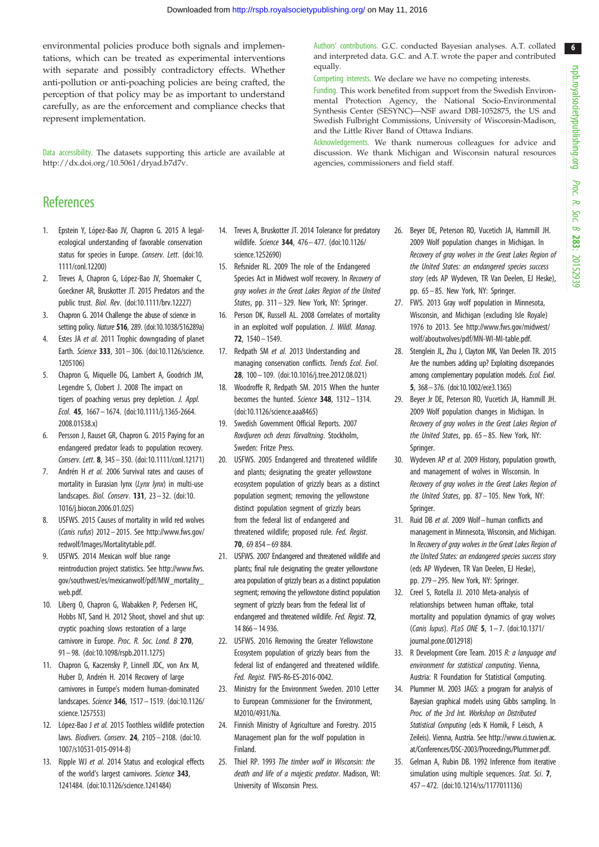6

<span id="page-5-0"></span>environmental policies produce both signals and implementations, which can be treated as experimental interventions with separate and possibly contradictory effects. Whether anti-pollution or anti-poaching policies are being crafted, the perception of that policy may be as important to understand carefully, as are the enforcement and compliance checks that represent implementation.

Data accessibility. The datasets supporting this article are available at [http://dx.doi.org/10.5061/dryad.b7d7v.](http://dx.doi.org/10.5061/dryad.b7d7v)

# **References**

- 1. Epstein Y, López-Bao JV, Chapron G. 2015 A legalecological understanding of favorable conservation status for species in Europe. Conserv. Lett. ([doi:10.](http://dx.doi.org/10.1111/conl.12200) [1111/conl.12200\)](http://dx.doi.org/10.1111/conl.12200)
- 2. Treves A, Chapron G, López-Bao JV, Shoemaker C, Goeckner AR, Bruskotter JT. 2015 Predators and the public trust. Biol. Rev. [\(doi:10.1111/brv.12227\)](http://dx.doi.org/10.1111/brv.12227)
- 3. Chapron G. 2014 Challenge the abuse of science in setting policy. Nature 516, 289. [\(doi:10.1038/516289a\)](http://dx.doi.org/10.1038/516289a)
- 4. Estes JA et al. 2011 Trophic downgrading of planet Earth. Science 333, 301 – 306. ([doi:10.1126/science.](http://dx.doi.org/10.1126/science.1205106) [1205106\)](http://dx.doi.org/10.1126/science.1205106)
- 5. Chapron G, Miquelle DG, Lambert A, Goodrich JM, Legendre S, Clobert J. 2008 The impact on tigers of poaching versus prey depletion. J. Appl. Ecol. 45, 1667– 1674. ([doi:10.1111/j.1365-2664.](http://dx.doi.org/10.1111/j.1365-2664.2008.01538.x) [2008.01538.x\)](http://dx.doi.org/10.1111/j.1365-2664.2008.01538.x)
- 6. Persson J, Rauset GR, Chapron G. 2015 Paying for an endangered predator leads to population recovery. Conserv. Lett. 8, 345– 350. ([doi:10.1111/conl.12171\)](http://dx.doi.org/10.1111/conl.12171)
- 7. Andrén H et al. 2006 Survival rates and causes of mortality in Eurasian lynx (Lynx lynx) in multi-use landscapes. Biol. Conserv. 131, 23 – 32. [\(doi:10.](http://dx.doi.org/10.1016/j.biocon.2006.01.025) [1016/j.biocon.2006.01.025\)](http://dx.doi.org/10.1016/j.biocon.2006.01.025)
- 8. USFWS. 2015 Causes of mortality in wild red wolves (Canis rufus) 2012 – 2015. See [http://www.fws.gov/](http://www.fws.gov/redwolf/Images/Mortalitytable.pdf) [redwolf/Images/Mortalitytable.pdf](http://www.fws.gov/redwolf/Images/Mortalitytable.pdf).
- 9. USFWS. 2014 Mexican wolf blue range reintroduction project statistics. See [http://www.fws.](http://www.fws.gov/southwest/es/mexicanwolf/pdf/MW_mortality_web.pdf) [gov/southwest/es/mexicanwolf/pdf/MW\\_mortality\\_](http://www.fws.gov/southwest/es/mexicanwolf/pdf/MW_mortality_web.pdf) [web.pdf.](http://www.fws.gov/southwest/es/mexicanwolf/pdf/MW_mortality_web.pdf)
- 10. Liberg O, Chapron G, Wabakken P, Pedersen HC, Hobbs NT, Sand H. 2012 Shoot, shovel and shut up: cryptic poaching slows restoration of a large carnivore in Europe. Proc. R. Soc. Lond. B 270, 91 – 98. ([doi:10.1098/rspb.2011.1275\)](http://dx.doi.org/10.1098/rspb.2011.1275)
- 11. Chapron G, Kaczensky P, Linnell JDC, von Arx M, Huber D, Andrén H. 2014 Recovery of large carnivores in Europe's modern human-dominated landscapes. Science 346, 1517– 1519. ([doi:10.1126/](http://dx.doi.org/10.1126/science.1257553) [science.1257553\)](http://dx.doi.org/10.1126/science.1257553)
- 12. López-Bao J et al. 2015 Toothless wildlife protection laws. Biodivers. Conserv. 24, 2105– 2108. [\(doi:10.](http://dx.doi.org/10.1007/s10531-015-0914-8) [1007/s10531-015-0914-8\)](http://dx.doi.org/10.1007/s10531-015-0914-8)
- 13. Ripple WJ et al. 2014 Status and ecological effects of the world's largest carnivores. Science 343, 1241484. ([doi:10.1126/science.1241484\)](http://dx.doi.org/10.1126/science.1241484)
- 14. Treves A, Bruskotter JT. 2014 Tolerance for predatory wildlife. Science 344, 476 – 477. [\(doi:10.1126/](http://dx.doi.org/10.1126/science.1252690) [science.1252690\)](http://dx.doi.org/10.1126/science.1252690)
- 15. Refsnider RL. 2009 The role of the Endangered Species Act in Midwest wolf recovery. In Recovery of gray wolves in the Great Lakes Region of the United States, pp. 311–329. New York, NY: Springer.
- 16. Person DK, Russell AL. 2008 Correlates of mortality in an exploited wolf population. J. Wildl. Manag. 72, 1540 – 1549.
- 17. Redpath SM et al. 2013 Understanding and managing conservation conflicts. Trends Ecol. Evol. 28, 100– 109. ([doi:10.1016/j.tree.2012.08.021](http://dx.doi.org/10.1016/j.tree.2012.08.021))
- 18. Woodroffe R, Redpath SM. 2015 When the hunter becomes the hunted. Science 348, 1312-1314. [\(doi:10.1126/science.aaa8465\)](http://dx.doi.org/10.1126/science.aaa8465)
- 19. Swedish Government Official Reports. 2007 Rovdjuren och deras förvaltning. Stockholm, Sweden: Fritze Press.
- 20. USFWS. 2005 Endangered and threatened wildlife and plants; designating the greater yellowstone ecosystem population of grizzly bears as a distinct population segment; removing the yellowstone distinct population segment of grizzly bears from the federal list of endangered and threatened wildlife; proposed rule. Fed. Regist. 70, 69 854– 69 884.
- 21. USFWS. 2007 Endangered and threatened wildlife and plants; final rule designating the greater yellowstone area population of grizzly bears as a distinct population segment; removing the yellowstone distinct population segment of grizzly bears from the federal list of endangered and threatened wildlife. Fed. Regist. 72, 14 866–14 936.
- 22. USFWS. 2016 Removing the Greater Yellowstone Ecosystem population of grizzly bears from the federal list of endangered and threatened wildlife. Fed. Regist. FWS-R6-ES-2016-0042.
- 23. Ministry for the Environment Sweden. 2010 Letter to European Commissioner for the Environment, M2010/4931/Na.
- 24. Finnish Ministry of Agriculture and Forestry. 2015 Management plan for the wolf population in Finland.
- 25. Thiel RP. 1993 The timber wolf in Wisconsin: the death and life of a majestic predator. Madison, WI: University of Wisconsin Press.

Authors' contributions. G.C. conducted Bayesian analyses. A.T. collated and interpreted data. G.C. and A.T. wrote the paper and contributed equally.

Competing interests. We declare we have no competing interests.

Funding. This work benefited from support from the Swedish Environmental Protection Agency, the National Socio-Environmental Synthesis Center (SESYNC)—NSF award DBI-1052875, the US and Swedish Fulbright Commissions, University of Wisconsin-Madison, and the Little River Band of Ottawa Indians.

Acknowledgements. We thank numerous colleagues for advice and discussion. We thank Michigan and Wisconsin natural resources agencies, commissioners and field staff.

- 26. Beyer DE, Peterson RO, Vucetich JA, Hammill JH. 2009 Wolf population changes in Michigan. In Recovery of gray wolves in the Great Lakes Region of the United States: an endangered species success story (eds AP Wydeven, TR Van Deelen, EJ Heske), pp. 65 – 85. New York, NY: Springer.
- 27. FWS. 2013 Gray wolf population in Minnesota, Wisconsin, and Michigan (excluding Isle Royale) 1976 to 2013. See [http://www.fws.gov/midwest/](http://www.fws.gov/midwest/wolf/aboutwolves/pdf/MN-WI-MI-table.pdf) [wolf/aboutwolves/pdf/MN-WI-MI-table.pdf.](http://www.fws.gov/midwest/wolf/aboutwolves/pdf/MN-WI-MI-table.pdf)
- 28. Stenglein JL, Zhu J, Clayton MK, Van Deelen TR. 2015 Are the numbers adding up? Exploiting discrepancies among complementary population models. Ecol. Evol. 5, 368–376. [\(doi:10.1002/ece3.1365](http://dx.doi.org/10.1002/ece3.1365))
- 29. Beyer Jr DE, Peterson RO, Vucetich JA, Hammill JH. 2009 Wolf population changes in Michigan. In Recovery of gray wolves in the Great Lakes Region of the United States, pp. 65 – 85. New York, NY: Springer.
- 30. Wydeven AP et al. 2009 History, population growth, and management of wolves in Wisconsin. In Recovery of gray wolves in the Great Lakes Region of the United States, pp. 87 – 105. New York, NY: Springer.
- 31. Ruid DB et al. 2009 Wolf–human conflicts and management in Minnesota, Wisconsin, and Michigan. In Recovery of gray wolves in the Great Lakes Region of the United States: an endangered species success story (eds AP Wydeven, TR Van Deelen, EJ Heske), pp. 279–295. New York, NY: Springer.
- 32. Creel S, Rotella JJ. 2010 Meta-analysis of relationships between human offtake, total mortality and population dynamics of gray wolves (Canis lupus). PLoS ONE 5, 1 – 7. [\(doi:10.1371/](http://dx.doi.org/10.1371/journal.pone.0012918) [journal.pone.0012918\)](http://dx.doi.org/10.1371/journal.pone.0012918)
- 33. R Development Core Team. 2015 R: a language and environment for statistical computing. Vienna, Austria: R Foundation for Statistical Computing.
- 34. Plummer M. 2003 JAGS: a program for analysis of Bayesian graphical models using Gibbs sampling. In Proc. of the 3rd Int. Workshop on Distributed Statistical Computing (eds K Hornik, F Leisch, A Zeileis). Vienna, Austria. See [http://www.ci.tuwien.ac.](http://www.ci.tuwien.ac.at/Conferences/DSC-2003/Proceedings/Plummer.pdf) [at/Conferences/DSC-2003/Proceedings/Plummer.pdf.](http://www.ci.tuwien.ac.at/Conferences/DSC-2003/Proceedings/Plummer.pdf)
- 35. Gelman A, Rubin DB. 1992 Inference from iterative simulation using multiple sequences. Stat. Sci. 7, 457– 472. [\(doi:10.1214/ss/1177011136](http://dx.doi.org/10.1214/ss/1177011136))